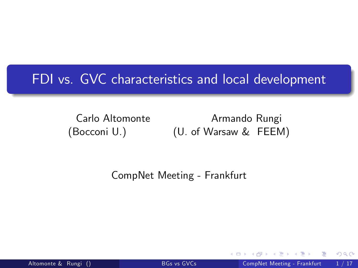### FDI vs. GVC characteristics and local development

Carlo Altomonte Armando Rungi (Bocconi U.) (U. of Warsaw & FEEM)

CompNet Meeting - Frankfurt

<span id="page-0-0"></span> $200$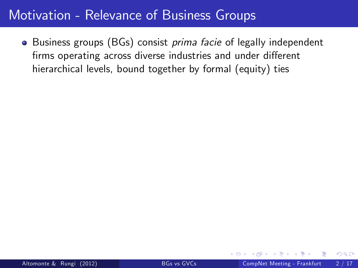<span id="page-1-0"></span>• Business groups (BGs) consist *prima facie* of legally independent firms operating across diverse industries and under different hierarchical levels, bound together by formal (equity) ties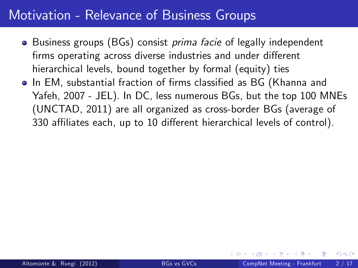- Business groups (BGs) consist *prima facie* of legally independent firms operating across diverse industries and under different hierarchical levels, bound together by formal (equity) ties
- **.** In EM, substantial fraction of firms classified as BG (Khanna and Yafeh, 2007 - JEL). In DC, less numerous BGs, but the top 100 MNEs (UNCTAD, 2011) are all organized as cross-border BGs (average of 330 affiliates each, up to 10 different hierarchical levels of control).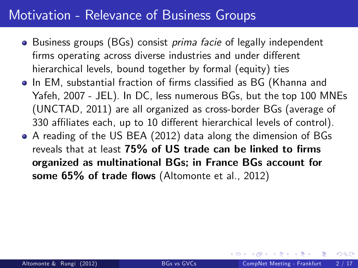- Business groups (BGs) consist *prima facie* of legally independent firms operating across diverse industries and under different hierarchical levels, bound together by formal (equity) ties
- **.** In EM, substantial fraction of firms classified as BG (Khanna and Yafeh, 2007 - JEL). In DC, less numerous BGs, but the top 100 MNEs (UNCTAD, 2011) are all organized as cross-border BGs (average of 330 affiliates each, up to 10 different hierarchical levels of control).
- A reading of the US BEA (2012) data along the dimension of BGs reveals that at least  $75\%$  of US trade can be linked to firms organized as multinational BGs; in France BGs account for some  $65\%$  of trade flows (Altomonte et al., 2012)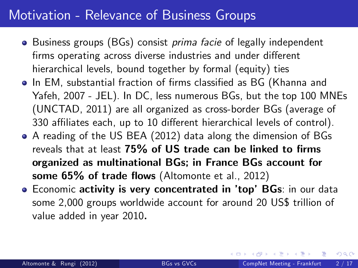- Business groups (BGs) consist *prima facie* of legally independent firms operating across diverse industries and under different hierarchical levels, bound together by formal (equity) ties
- **.** In EM, substantial fraction of firms classified as BG (Khanna and Yafeh, 2007 - JEL). In DC, less numerous BGs, but the top 100 MNEs (UNCTAD, 2011) are all organized as cross-border BGs (average of 330 affiliates each, up to 10 different hierarchical levels of control).
- A reading of the US BEA (2012) data along the dimension of BGs reveals that at least  $75\%$  of US trade can be linked to firms organized as multinational BGs; in France BGs account for some  $65\%$  of trade flows (Altomonte et al., 2012)
- <span id="page-4-0"></span>**• Economic activity is very concentrated in 'top' BGs:** in our data some 2,000 groups worldwide account for around 20 US\$ trillion of value added in year 2010.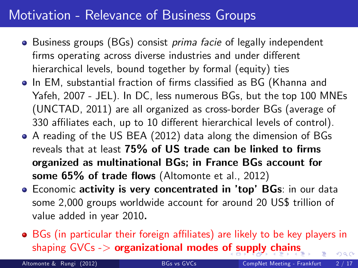- Business groups (BGs) consist *prima facie* of legally independent firms operating across diverse industries and under different hierarchical levels, bound together by formal (equity) ties
- **.** In EM, substantial fraction of firms classified as BG (Khanna and Yafeh, 2007 - JEL). In DC, less numerous BGs, but the top 100 MNEs (UNCTAD, 2011) are all organized as cross-border BGs (average of 330 affiliates each, up to 10 different hierarchical levels of control).
- A reading of the US BEA (2012) data along the dimension of BGs reveals that at least  $75\%$  of US trade can be linked to firms organized as multinational BGs; in France BGs account for some  $65\%$  of trade flows (Altomonte et al., 2012)
- **Economic activity is very concentrated in 'top' BGs:** in our data some 2,000 groups worldwide account for around 20 US\$ trillion of value added in year 2010.
- **•** BGs (in particular their foreign affiliates) are likely to be key players in sha[p](#page-1-0)ing  $GVCs \rightarrow$  organizational modes [of s](#page-4-0)[u](#page-6-0)pp[ly](#page-5-0) [ch](#page-0-0)[ai](#page-41-0)[ns](#page-0-0)  $\Omega$

<span id="page-5-0"></span>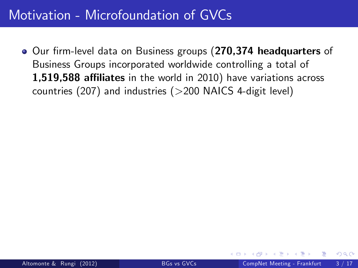<span id="page-6-0"></span>**• Our firm-level data on Business groups (270,374 headquarters of** Business Groups incorporated worldwide controlling a total of 1,519,588 affiliates in the world in 2010) have variations across countries (207) and industries (>200 NAICS 4-digit level)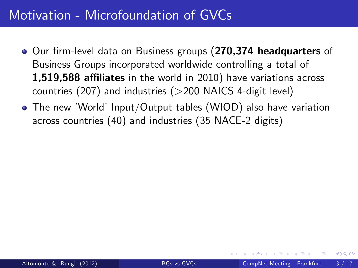- **•** Our firm-level data on Business groups (270,374 headquarters of Business Groups incorporated worldwide controlling a total of 1,519,588 affiliates in the world in 2010) have variations across countries (207) and industries ( $>$ 200 NAICS 4-digit level)
- The new 'World' Input/Output tables (WIOD) also have variation across countries (40) and industries (35 NACE-2 digits)

 $200$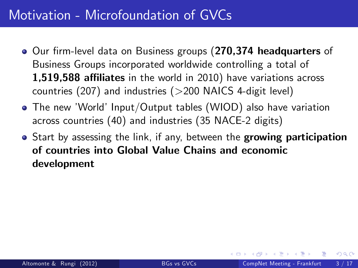- **•** Our firm-level data on Business groups (270,374 headquarters of Business Groups incorporated worldwide controlling a total of 1,519,588 affiliates in the world in 2010) have variations across countries  $(207)$  and industries  $(>200$  NAICS 4-digit level)
- The new 'World' Input/Output tables (WIOD) also have variation across countries (40) and industries (35 NACE-2 digits)
- Start by assessing the link, if any, between the growing participation of countries into Global Value Chains and economic development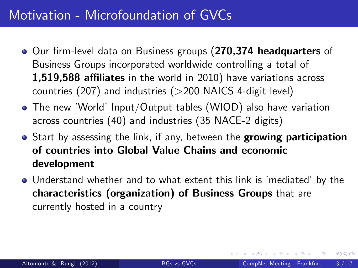- **Our firm-level data on Business groups (270,374 headquarters of** Business Groups incorporated worldwide controlling a total of 1,519,588 affiliates in the world in 2010) have variations across countries  $(207)$  and industries  $(>200$  NAICS 4-digit level)
- The new 'World' Input/Output tables (WIOD) also have variation across countries (40) and industries (35 NACE-2 digits)
- Start by assessing the link, if any, between the growing participation of countries into Global Value Chains and economic development
- . Understand whether and to what extent this link is 'mediated' by the characteristics (organization) of Business Groups that are currently hosted in a country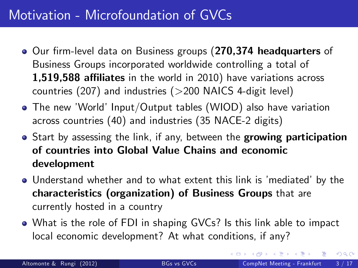- **Our firm-level data on Business groups (270,374 headquarters of** Business Groups incorporated worldwide controlling a total of 1,519,588 affiliates in the world in 2010) have variations across countries  $(207)$  and industries  $(>200$  NAICS 4-digit level)
- The new 'World' Input/Output tables (WIOD) also have variation across countries (40) and industries (35 NACE-2 digits)
- Start by assessing the link, if any, between the growing participation of countries into Global Value Chains and economic development
- . Understand whether and to what extent this link is 'mediated' by the characteristics (organization) of Business Groups that are currently hosted in a country
- What is the role of FDI in shaping GVCs? Is this link able to impact local economic development? At what conditions, if any?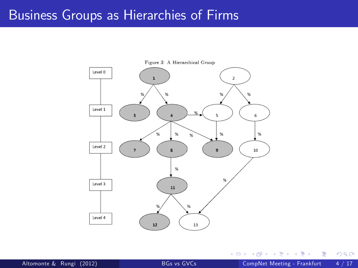### Business Groups as Hierarchies of Firms



 $\mathcal{A}$ Altomonte & Rungi (2012) [BGs vs GVCs](#page-0-0) CompNet Meeting - Frankfurt 4 / 17

4 0 8

舌

Þ

 $298$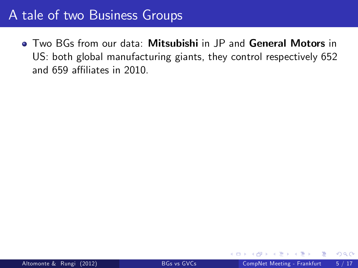**• Two BGs from our data: Mitsubishi in JP and General Motors in** US: both global manufacturing giants, they control respectively 652 and 659 affiliates in 2010.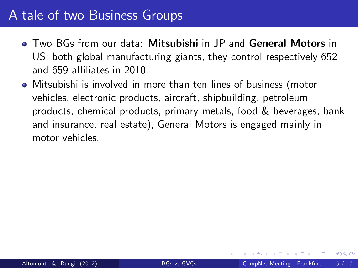- Two BGs from our data: Mitsubishi in JP and General Motors in US: both global manufacturing giants, they control respectively 652 and 659 affiliates in 2010.
- Mitsubishi is involved in more than ten lines of business (motor vehicles, electronic products, aircraft, shipbuilding, petroleum products, chemical products, primary metals, food & beverages, bank and insurance, real estate), General Motors is engaged mainly in motor vehicles.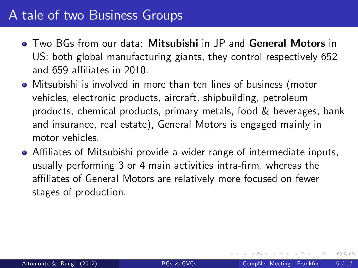- Two BGs from our data: Mitsubishi in JP and General Motors in US: both global manufacturing giants, they control respectively 652 and 659 affiliates in 2010.
- Mitsubishi is involved in more than ten lines of business (motor vehicles, electronic products, aircraft, shipbuilding, petroleum products, chemical products, primary metals, food & beverages, bank and insurance, real estate), General Motors is engaged mainly in motor vehicles.
- <span id="page-14-0"></span>• Affiliates of Mitsubishi provide a wider range of intermediate inputs, usually performing 3 or 4 main activities intra-firm, whereas the affiliates of General Motors are relatively more focused on fewer stages of production.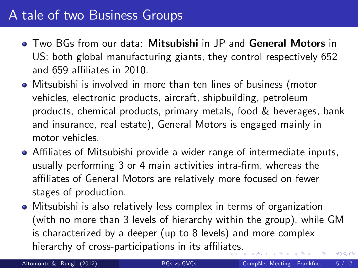- Two BGs from our data: Mitsubishi in JP and General Motors in US: both global manufacturing giants, they control respectively 652 and 659 affiliates in 2010.
- Mitsubishi is involved in more than ten lines of business (motor vehicles, electronic products, aircraft, shipbuilding, petroleum products, chemical products, primary metals, food & beverages, bank and insurance, real estate), General Motors is engaged mainly in motor vehicles.
- Affiliates of Mitsubishi provide a wider range of intermediate inputs, usually performing 3 or 4 main activities intra-firm, whereas the affiliates of General Motors are relatively more focused on fewer stages of production.
- Mitsubishi is also relatively less complex in terms of organization (with no more than 3 levels of hierarchy within the group), while GM is characterized by a deeper (up to 8 levels) and more complex hierarchy of cross-participations in its affili[ate](#page-14-0)s[.](#page-16-0)  $QQ$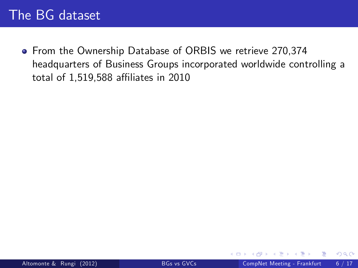<span id="page-16-0"></span>**•** From the Ownership Database of ORBIS we retrieve 270,374 headquarters of Business Groups incorporated worldwide controlling a total of 1,519,588 affiliates in 2010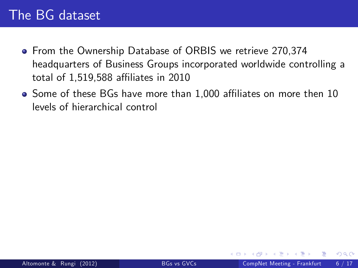- **From the Ownership Database of ORBIS we retrieve 270,374** headquarters of Business Groups incorporated worldwide controlling a total of 1,519,588 affiliates in 2010
- Some of these BGs have more than 1,000 affiliates on more then 10 levels of hierarchical control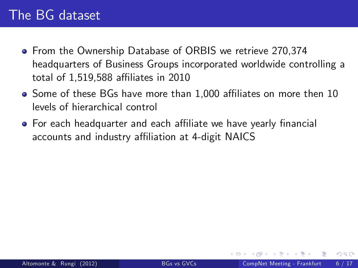- **From the Ownership Database of ORBIS we retrieve 270,374** headquarters of Business Groups incorporated worldwide controlling a total of 1,519,588 affiliates in 2010
- Some of these BGs have more than 1,000 affiliates on more then 10 levels of hierarchical control
- For each headquarter and each affiliate we have yearly financial accounts and industry affiliation at 4-digit NAICS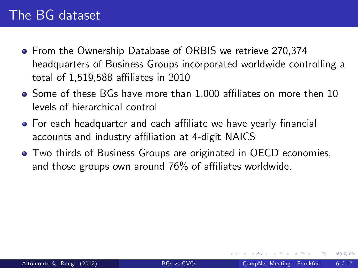- **From the Ownership Database of ORBIS we retrieve 270,374** headquarters of Business Groups incorporated worldwide controlling a total of 1,519,588 affiliates in 2010
- Some of these BGs have more than 1,000 affiliates on more then 10 levels of hierarchical control
- For each headquarter and each affiliate we have yearly financial accounts and industry affiliation at 4-digit NAICS
- Two thirds of Business Groups are originated in OECD economies, and those groups own around  $76\%$  of affiliates worldwide.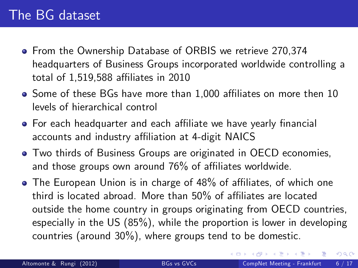- **From the Ownership Database of ORBIS we retrieve 270,374** headquarters of Business Groups incorporated worldwide controlling a total of 1,519,588 affiliates in 2010
- Some of these BGs have more than 1,000 affiliates on more then 10 levels of hierarchical control
- For each headquarter and each affiliate we have yearly financial accounts and industry affiliation at 4-digit NAICS
- Two thirds of Business Groups are originated in OECD economies, and those groups own around  $76\%$  of affiliates worldwide.
- The European Union is in charge of 48% of affiliates, of which one third is located abroad. More than  $50\%$  of affiliates are located outside the home country in groups originating from OECD countries, especially in the US (85%), while the proportion is lower in developing countries (around 30%), where groups tend to be domestic.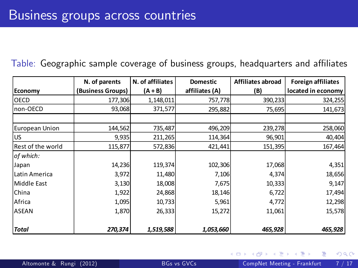#### Table: Geographic sample coverage of business groups, headquarters and affiliates

|                   | N. of parents     | N. of affiliates | <b>Domestic</b> | Affiliates abroad | <b>Foreign affiliates</b> |
|-------------------|-------------------|------------------|-----------------|-------------------|---------------------------|
| Economy           | (Business Groups) | (A + B)          | affiliates (A)  | (B)               | located in economy        |
| <b>OECD</b>       | 177,306           | 1,148,011        | 757,778         | 390,233           | 324,255                   |
| non-OECD          | 93,068            | 371,577          | 295,882         | 75,695            | 141,673                   |
|                   |                   |                  |                 |                   |                           |
| European Union    | 144,562           | 735,487          | 496,209         | 239,278           | 258,060                   |
| <b>US</b>         | 9,935             | 211,265          | 114,364         | 96,901            | 40,404                    |
| Rest of the world | 115,877           | 572,836          | 421,441         | 151,395           | 167,464                   |
| of which:         |                   |                  |                 |                   |                           |
| Japan             | 14,236            | 119,374          | 102,306         | 17,068            | 4,351                     |
| Latin America     | 3,972             | 11,480           | 7,106           | 4,374             | 18,656                    |
| Middle East       | 3,130             | 18,008           | 7,675           | 10,333            | 9,147                     |
| China             | 1,922             | 24,868           | 18,146          | 6,722             | 17,494                    |
| Africa            | 1,095             | 10,733           | 5,961           | 4,772             | 12,298                    |
| <b>ASEAN</b>      | 1,870             | 26,333           | 15,272          | 11,061            | 15,578                    |
|                   |                   |                  |                 |                   |                           |
| <b>Total</b>      | 270,374           | 1,519,588        | 1,053,660       | 465,928           | 465,928                   |

4 0 8

 $298$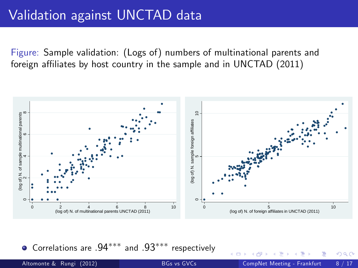Figure: Sample validation: (Logs of) numbers of multinational parents and foreign affiliates by host country in the sample and in UNCTAD (2011)



 $\bullet$  Correlations are .94\*\*\* and .93\*\*\* respectively

4 D F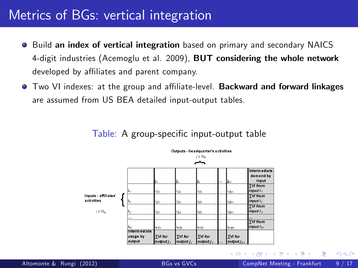### Metrics of BGs: vertical integration

- Build an index of vertical integration based on primary and secondary NAICS  $\bullet$ 4-digit industries (Acemoglu et al. 2009), BUT considering the whole network developed by affiliates and parent company.
- **Two VI indexes: at the group and affiliate-level. Backward and forward linkages** are assumed from US BEA detailed input-output tables.

#### Table: A group-specific input-output table



4 0 8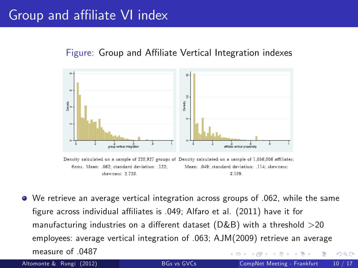### Group and affiliate VI index

#### Figure: Group and Affiliate Vertical Integration indexes



<span id="page-24-0"></span>Density calculated on a sample of 228,927 groups of Density calculated on a sample of 1,056,806 affiliates; firms. Mean: .062; standard deviation: .122; Mean: .049; standard deviation: .114; skewness: skewness: 2.723. 3.189.

We retrieve an average vertical integration across groups of .062, while the same figure across individual affiliates is .049; Alfaro et al. (2011) have it for manufacturing industries on a different dataset ( $D&B$ ) with a threshold  $>$ 20 employees: average vertical integration of .063; AJM(2009) retrieve an average measure of 0487 4 D F  $\Omega$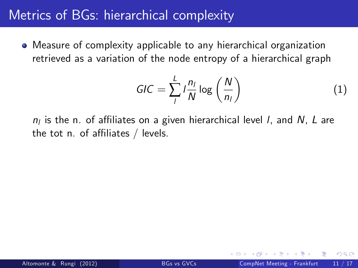### Metrics of BGs: hierarchical complexity

Measure of complexity applicable to any hierarchical organization retrieved as a variation of the node entropy of a hierarchical graph

<span id="page-25-0"></span>
$$
GIC = \sum_{l}^{L} l \frac{n_l}{N} \log \left( \frac{N}{n_l} \right)
$$
 (1)

 $n_l$  is the n. of affiliates on a given hierarchical level *I*, and *N*, *L* are the tot n. of affiliates  $/$  levels.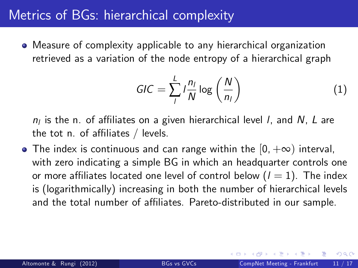### Metrics of BGs: hierarchical complexity

Measure of complexity applicable to any hierarchical organization retrieved as a variation of the node entropy of a hierarchical graph

$$
GIC = \sum_{l}^{L} l \frac{n_l}{N} \log \left( \frac{N}{n_l} \right)
$$
 (1)

 $n_l$  is the n. of affiliates on a given hierarchical level *I*, and *N*, *L* are the tot n. of affiliates  $/$  levels.

• The index is continuous and can range within the  $[0, +\infty)$  interval, with zero indicating a simple BG in which an headquarter controls one or more affiliates located one level of control below  $(l = 1)$ . The index is (logarithmically) increasing in both the number of hierarchical levels and the total number of affiliates. Pareto-distributed in our sample.

<span id="page-26-0"></span> $200$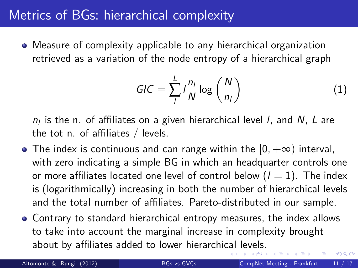### Metrics of BGs: hierarchical complexity

Measure of complexity applicable to any hierarchical organization retrieved as a variation of the node entropy of a hierarchical graph

<span id="page-27-0"></span>
$$
GIC = \sum_{l}^{L} l \frac{n_l}{N} \log \left( \frac{N}{n_l} \right)
$$
 (1)

 $n_l$  is the n. of affiliates on a given hierarchical level *I*, and *N*, *L* are the tot n. of affiliates  $/$  levels.

- The index is continuous and can range within the  $[0, +\infty)$  interval, with zero indicating a simple BG in which an headquarter controls one or more affiliates located one level of control below  $(l = 1)$ . The index is (logarithmically) increasing in both the number of hierarchical levels and the total number of affiliates. Pareto-distributed in our sample.
- Contrary to standard hierarchical entropy measures, the index allows to take into account the marginal increase in complexity brought about by affiliates added to lower hierarchi[cal](#page-26-0) [le](#page-28-0)[v](#page-24-0)[el](#page-25-0)[s](#page-27-0)[.](#page-28-0)  $200$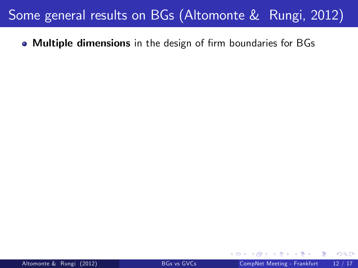$\bullet$  Multiple dimensions in the design of firm boundaries for BGs

<span id="page-28-0"></span> $299$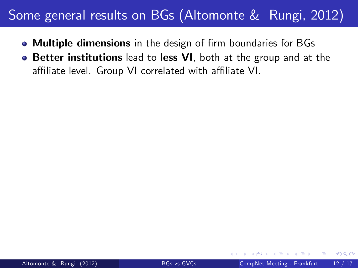- Multiple dimensions in the design of firm boundaries for BGs
- **Better institutions** lead to less VI, both at the group and at the affiliate level. Group VI correlated with affiliate VI.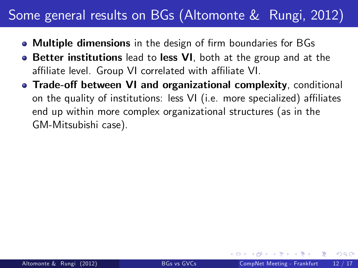- Multiple dimensions in the design of firm boundaries for BGs
- **Better institutions** lead to less VI, both at the group and at the affiliate level. Group VI correlated with affiliate VI.
- Trade-off between VI and organizational complexity, conditional on the quality of institutions: less  $VI$  (i.e. more specialized) affiliates end up within more complex organizational structures (as in the GM-Mitsubishi case).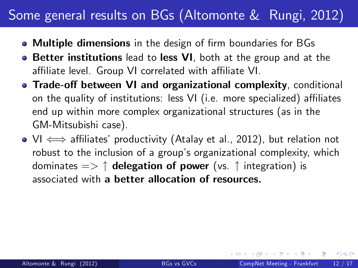- Multiple dimensions in the design of firm boundaries for BGs
- **Better institutions** lead to less VI, both at the group and at the affiliate level. Group VI correlated with affiliate VI.
- Trade-off between VI and organizational complexity, conditional on the quality of institutions: less  $VI$  (i.e. more specialized) affiliates end up within more complex organizational structures (as in the GM-Mitsubishi case).
- $\bullet$  VI  $\Longleftrightarrow$  affiliates' productivity (Atalay et al., 2012), but relation not robust to the inclusion of a group's organizational complexity, which dominates  $\Rightarrow \uparrow$  delegation of power (vs.  $\uparrow$  integration) is associated with a better allocation of resources.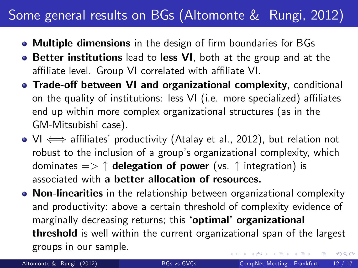- Multiple dimensions in the design of firm boundaries for BGs
- **Better institutions** lead to less VI, both at the group and at the affiliate level. Group VI correlated with affiliate VI.
- Trade-off between VI and organizational complexity, conditional on the quality of institutions: less  $VI$  (i.e. more specialized) affiliates end up within more complex organizational structures (as in the GM-Mitsubishi case).
- $\bullet$  VI  $\Longleftrightarrow$  affiliates' productivity (Atalay et al., 2012), but relation not robust to the inclusion of a group's organizational complexity, which dominates  $\Rightarrow \uparrow$  delegation of power (vs.  $\uparrow$  integration) is associated with a better allocation of resources.
- Non-linearities in the relationship between organizational complexity and productivity: above a certain threshold of complexity evidence of marginally decreasing returns; this 'optimal' organizational threshold is well within the current organizational span of the largest groups in our sample. 化重 网络重  $\Omega$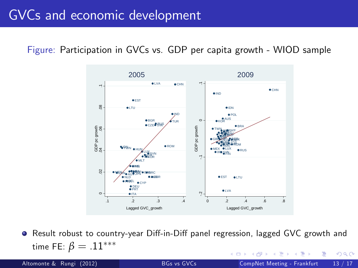### GVCs and economic development

Figure: Participation in GVCs vs. GDP per capita growth - WIOD sample



● Result robust to country-year Diff-in-Diff panel regression, lagged GVC growth and time FE:  $\beta = .11***$  $\Omega$ 

4 D F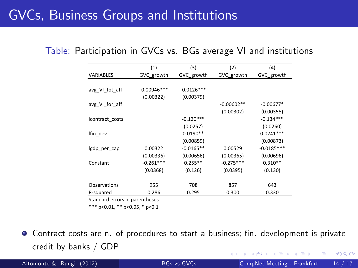## GVCs, Business Groups and Institutions

|  |  |  |  | Table: Participation in GVCs vs. BGs average VI and institutions |  |  |  |
|--|--|--|--|------------------------------------------------------------------|--|--|--|
|--|--|--|--|------------------------------------------------------------------|--|--|--|

|                                | (1)           | (3)          | (2)          | (4)          |
|--------------------------------|---------------|--------------|--------------|--------------|
| <b>VARIABLES</b>               | GVC_growth    | GVC growth   | GVC_growth   | GVC growth   |
|                                |               |              |              |              |
| avg VI tot aff                 | $-0.00946***$ | $-0.0126***$ |              |              |
|                                | (0.00322)     | (0.00379)    |              |              |
| avg VI for aff                 |               |              | $-0.00602**$ | $-0.00677*$  |
|                                |               |              | (0.00302)    | (0.00355)    |
| Icontract_costs                |               | $-0.120***$  |              | $-0.134***$  |
|                                |               | (0.0257)     |              | (0.0260)     |
| Ifin dev                       |               | $0.0190**$   |              | $0.0241***$  |
|                                |               | (0.00859)    |              | (0.00873)    |
| lgdp_per_cap                   | 0.00322       | $-0.0165**$  | 0.00529      | $-0.0185***$ |
|                                | (0.00336)     | (0.00656)    | (0.00365)    | (0.00696)    |
| Constant                       | $-0.261***$   | $0.255**$    | $-0.275***$  | $0.310**$    |
|                                | (0.0368)      | (0.126)      | (0.0395)     | (0.130)      |
|                                |               |              |              |              |
| Observations                   | 955           | 708          | 857          | 643          |
| R-squared                      | 0.286         | 0.295        | 0.300        | 0.330        |
| Standard errors in parentheses |               |              |              |              |

\*\*\* p<0.01, \*\* p<0.05, \* p<0.1

 $\bullet$  Contract costs are n. of procedures to start a business; fin. development is private credit by banks / GDP  $298$ 

Altomonte & Rungi (2012) [BGs vs GVCs](#page-0-0) CompNet Meeting - Frankfurt 14 / 17

4 0 8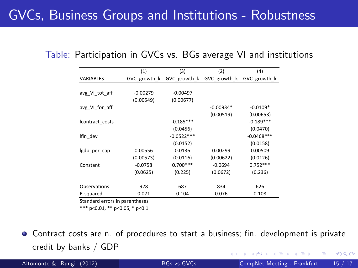## GVCs, Business Groups and Institutions - Robustness

|                                | (1)          | (3)          | (2)                       | (4)          |
|--------------------------------|--------------|--------------|---------------------------|--------------|
| VARIABLES                      | GVC growth k |              | GVC growth k GVC growth k | GVC growth k |
|                                |              |              |                           |              |
| avg VI tot aff                 | $-0.00279$   | $-0.00497$   |                           |              |
|                                | (0.00549)    | (0.00677)    |                           |              |
| avg_VI_for_aff                 |              |              | $-0.00934*$               | $-0.0109*$   |
|                                |              |              | (0.00519)                 | (0.00653)    |
| Icontract costs                |              | $-0.185***$  |                           | $-0.189***$  |
|                                |              | (0.0456)     |                           | (0.0470)     |
| Ifin dev                       |              | $-0.0522***$ |                           | $-0.0468***$ |
|                                |              | (0.0152)     |                           | (0.0158)     |
| Igdp_per_cap                   | 0.00556      | 0.0136       | 0.00299                   | 0.00509      |
|                                | (0.00573)    | (0.0116)     | (0.00622)                 | (0.0126)     |
| Constant                       | $-0.0758$    | $0.700***$   | $-0.0694$                 | $0.752***$   |
|                                | (0.0625)     | (0.225)      | (0.0672)                  | (0.236)      |
|                                |              |              |                           |              |
| Observations                   | 928          | 687          | 834                       | 626          |
| R-squared                      | 0.071        | 0.104        | 0.076                     | 0.108        |
| Standard errors in parentheses |              |              |                           |              |

Table: Participation in GVCs vs. BGs average VI and institutions

\*\*\* p<0.01, \*\* p<0.05, \* p<0.1

Contract costs are n. of procedures to start a business; Ön. development is private credit by banks / GDP  $QQ$ 

Altomonte & Rungi (2012) [BGs vs GVCs](#page-0-0) CompNet Meeting - Frankfurt 15 / 17

4 0 8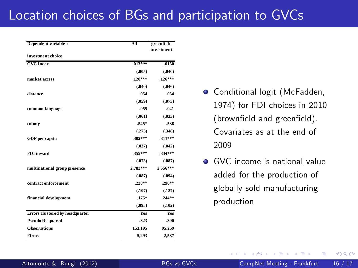### Location choices of BGs and participation to GVCs

| Dependent variable :            | All        | greenfield |
|---------------------------------|------------|------------|
| investment choice               |            | investment |
|                                 |            |            |
| <b>GVC</b> index                | $.013***$  | .0150      |
|                                 | (.005)     | (.040)     |
| market access                   | $.120***$  | $.126***$  |
|                                 | (.040)     | (.046)     |
| distance                        | .054       | .054       |
|                                 | (.059)     | (.073)     |
| common language                 | .055       | .041       |
|                                 | (.061)     | (.033)     |
| colony                          | .545*      | .538       |
|                                 | (.275)     | (.348)     |
| GDP per capita                  | $.302***$  | .311***    |
|                                 | (.037)     | (.042)     |
| <b>FDI</b> inward               | 355***     | 334***     |
|                                 | (.073)     | (.087)     |
| multinational group presence    | 2.783***   | 2.556***   |
|                                 | (.087)     | (.094)     |
| contract enforcement            | $.228**$   | $.296**$   |
|                                 | (.107)     | (.127)     |
| financial development           | $.175*$    | $.244**$   |
|                                 | (.095)     | (.102)     |
| Errors clustered by headquarter | <b>Ves</b> | Yes        |
| <b>Pseudo R-squared</b>         | .323       | .300       |
| <b>Observations</b>             | 153.195    | 95,259     |
| Firms                           | 5.293      | 2.587      |

- **O** Conditional logit (McFadden, 1974) for FDI choices in 2010 (brownfield and greenfield). Covariates as at the end of 2009
- GVC income is national value added for the production of globally sold manufacturing production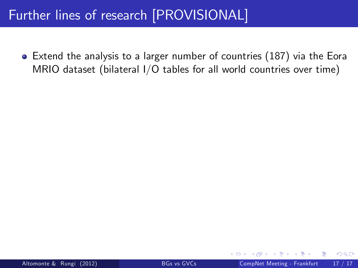Extend the analysis to a larger number of countries (187) via the Eora MRIO dataset (bilateral I/O tables for all world countries over time)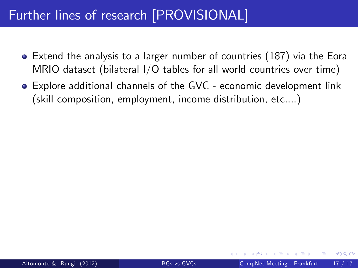- Extend the analysis to a larger number of countries (187) via the Eora MRIO dataset (bilateral I/O tables for all world countries over time)
- Explore additional channels of the GVC economic development link (skill composition, employment, income distribution, etc....)

 $200$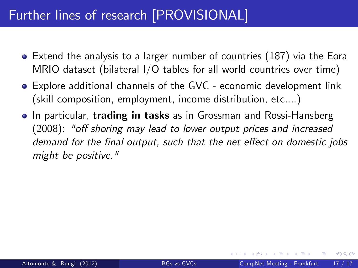- Extend the analysis to a larger number of countries (187) via the Eora MRIO dataset (bilateral I/O tables for all world countries over time)
- Explore additional channels of the GVC economic development link (skill composition, employment, income distribution, etc....)
- **In particular, trading in tasks** as in Grossman and Rossi-Hansberg (2008): "off shoring may lead to lower output prices and increased demand for the final output, such that the net effect on domestic jobs might be positive."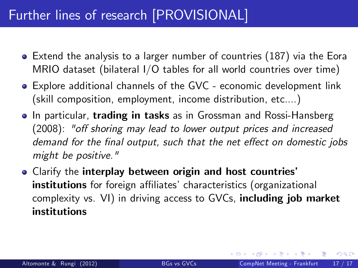- Extend the analysis to a larger number of countries (187) via the Eora MRIO dataset (bilateral I/O tables for all world countries over time)
- Explore additional channels of the GVC economic development link (skill composition, employment, income distribution, etc....)
- **In particular, trading in tasks** as in Grossman and Rossi-Hansberg (2008): "off shoring may lead to lower output prices and increased demand for the final output, such that the net effect on domestic jobs might be positive."
- **Clarify the interplay between origin and host countries'** institutions for foreign affiliates' characteristics (organizational complexity vs. VI) in driving access to GVCs, including job market institutions

 $\lambda$  in the set of the set